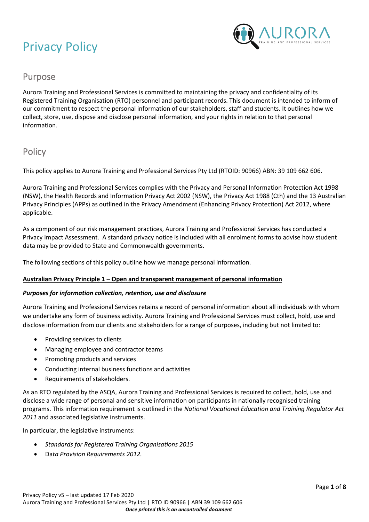

# Purpose

Aurora Training and Professional Services is committed to maintaining the privacy and confidentiality of its Registered Training Organisation (RTO) personnel and participant records. This document is intended to inform of our commitment to respect the personal information of our stakeholders, staff and students. It outlines how we collect, store, use, dispose and disclose personal information, and your rights in relation to that personal information.

# **Policy**

This policy applies to Aurora Training and Professional Services Pty Ltd (RTOID: 90966) ABN: 39 109 662 606.

Aurora Training and Professional Services complies with the Privacy and Personal Information Protection Act 1998 (NSW), the Health Records and Information Privacy Act 2002 (NSW), the Privacy Act 1988 (Cth) and the 13 Australian Privacy Principles (APPs) as outlined in the Privacy Amendment (Enhancing Privacy Protection) Act 2012, where applicable.

As a component of our risk management practices, Aurora Training and Professional Services has conducted a Privacy Impact Assessment. A standard privacy notice is included with all enrolment forms to advise how student data may be provided to State and Commonwealth governments.

The following sections of this policy outline how we manage personal information.

# **Australian Privacy Principle 1 – Open and transparent management of personal information**

# *Purposes for information collection, retention, use and disclosure*

Aurora Training and Professional Services retains a record of personal information about all individuals with whom we undertake any form of business activity. Aurora Training and Professional Services must collect, hold, use and disclose information from our clients and stakeholders for a range of purposes, including but not limited to:

- Providing services to clients
- Managing employee and contractor teams
- Promoting products and services
- Conducting internal business functions and activities
- Requirements of stakeholders.

As an RTO regulated by the ASQA, Aurora Training and Professional Services is required to collect, hold, use and disclose a wide range of personal and sensitive information on participants in nationally recognised training programs. This information requirement is outlined in the *National Vocational Education and Training Regulator Act 2011* and associated legislative instruments.

In particular, the legislative instruments:

- *Standards for Registered Training Organisations 2015*
- Da*ta Provision Requirements 2012.*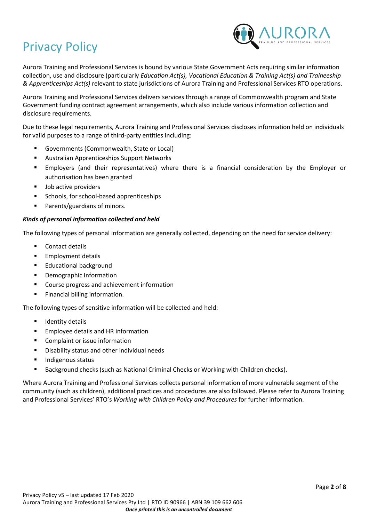

Aurora Training and Professional Services is bound by various State Government Acts requiring similar information collection, use and disclosure (particularly *Education Act(s), Vocational Education & Training Act(s) and Traineeship & Apprenticeships Act(s)* relevant to state jurisdictions of Aurora Training and Professional Services RTO operations.

Aurora Training and Professional Services delivers services through a range of Commonwealth program and State Government funding contract agreement arrangements, which also include various information collection and disclosure requirements.

Due to these legal requirements, Aurora Training and Professional Services discloses information held on individuals for valid purposes to a range of third-party entities including:

- Governments (Commonwealth, State or Local)
- Australian Apprenticeships Support Networks
- Employers (and their representatives) where there is a financial consideration by the Employer or authorisation has been granted
- Job active providers
- Schools, for school-based apprenticeships
- Parents/guardians of minors.

# *Kinds of personal information collected and held*

The following types of personal information are generally collected, depending on the need for service delivery:

- Contact details
- **Employment details**
- Educational background
- Demographic Information
- Course progress and achievement information
- Financial billing information.

The following types of sensitive information will be collected and held:

- Identity details
- Employee details and HR information
- Complaint or issue information
- Disability status and other individual needs
- Indigenous status
- Background checks (such as National Criminal Checks or Working with Children checks).

Where Aurora Training and Professional Services collects personal information of more vulnerable segment of the community (such as children), additional practices and procedures are also followed. Please refer to Aurora Training and Professional Services' RTO's *Working with Children Policy and Procedures* for further information.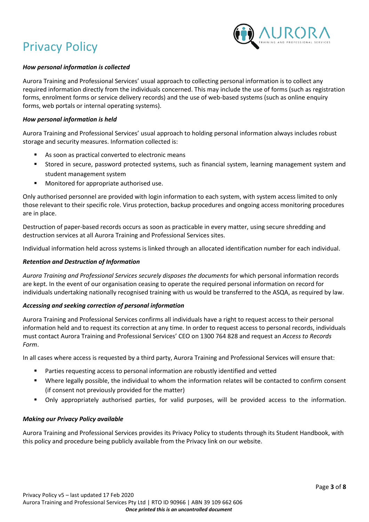

# *How personal information is collected*

Aurora Training and Professional Services' usual approach to collecting personal information is to collect any required information directly from the individuals concerned. This may include the use of forms (such as registration forms, enrolment forms or service delivery records) and the use of web-based systems (such as online enquiry forms, web portals or internal operating systems).

#### *How personal information is held*

Aurora Training and Professional Services' usual approach to holding personal information always includes robust storage and security measures. Information collected is:

- As soon as practical converted to electronic means
- Stored in secure, password protected systems, such as financial system, learning management system and student management system
- Monitored for appropriate authorised use.

Only authorised personnel are provided with login information to each system, with system access limited to only those relevant to their specific role. Virus protection, backup procedures and ongoing access monitoring procedures are in place.

Destruction of paper-based records occurs as soon as practicable in every matter, using secure shredding and destruction services at all Aurora Training and Professional Services sites.

Individual information held across systems is linked through an allocated identification number for each individual.

#### *Retention and Destruction of Information*

*Aurora Training and Professional Services securely disposes the documents* for which personal information records are kept. In the event of our organisation ceasing to operate the required personal information on record for individuals undertaking nationally recognised training with us would be transferred to the ASQA, as required by law.

# *Accessing and seeking correction of personal information*

Aurora Training and Professional Services confirms all individuals have a right to request access to their personal information held and to request its correction at any time. In order to request access to personal records, individuals must contact Aurora Training and Professional Services' CEO on 1300 764 828 and request an *Access to Records Form*.

In all cases where access is requested by a third party, Aurora Training and Professional Services will ensure that:

- Parties requesting access to personal information are robustly identified and vetted
- Where legally possible, the individual to whom the information relates will be contacted to confirm consent (if consent not previously provided for the matter)
- Only appropriately authorised parties, for valid purposes, will be provided access to the information.

# *Making our Privacy Policy available*

Aurora Training and Professional Services provides its Privacy Policy to students through its Student Handbook, with this policy and procedure being publicly available from the Privacy link on our website.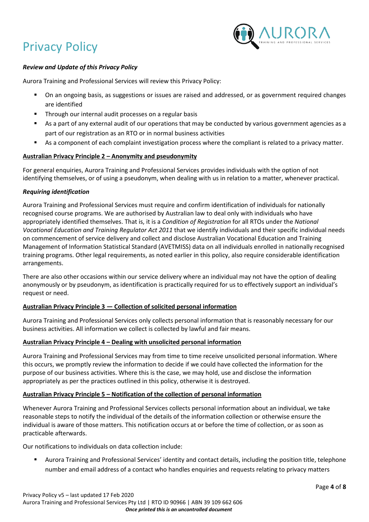

# *Review and Update of this Privacy Policy*

Aurora Training and Professional Services will review this Privacy Policy:

- On an ongoing basis, as suggestions or issues are raised and addressed, or as government required changes are identified
- Through our internal audit processes on a regular basis
- As a part of any external audit of our operations that may be conducted by various government agencies as a part of our registration as an RTO or in normal business activities
- As a component of each complaint investigation process where the compliant is related to a privacy matter.

#### **Australian Privacy Principle 2 – Anonymity and pseudonymity**

For general enquiries, Aurora Training and Professional Services provides individuals with the option of not identifying themselves, or of using a pseudonym, when dealing with us in relation to a matter, whenever practical.

#### *Requiring identification*

Aurora Training and Professional Services must require and confirm identification of individuals for nationally recognised course programs. We are authorised by Australian law to deal only with individuals who have appropriately identified themselves. That is, it is a *Condition of Registration* for all RTOs under the *National Vocational Education and Training Regulator Act 2011* that we identify individuals and their specific individual needs on commencement of service delivery and collect and disclose Australian Vocational Education and Training Management of Information Statistical Standard (AVETMISS) data on all individuals enrolled in nationally recognised training programs. Other legal requirements, as noted earlier in this policy, also require considerable identification arrangements.

There are also other occasions within our service delivery where an individual may not have the option of dealing anonymously or by pseudonym, as identification is practically required for us to effectively support an individual's request or need.

# **Australian Privacy Principle 3 — Collection of solicited personal information**

Aurora Training and Professional Services only collects personal information that is reasonably necessary for our business activities. All information we collect is collected by lawful and fair means.

#### **Australian Privacy Principle 4 – Dealing with unsolicited personal information**

Aurora Training and Professional Services may from time to time receive unsolicited personal information. Where this occurs, we promptly review the information to decide if we could have collected the information for the purpose of our business activities. Where this is the case, we may hold, use and disclose the information appropriately as per the practices outlined in this policy, otherwise it is destroyed.

#### **Australian Privacy Principle 5 – Notification of the collection of personal information**

Whenever Aurora Training and Professional Services collects personal information about an individual, we take reasonable steps to notify the individual of the details of the information collection or otherwise ensure the individual is aware of those matters. This notification occurs at or before the time of collection, or as soon as practicable afterwards.

Our notifications to individuals on data collection include:

Aurora Training and Professional Services' identity and contact details, including the position title, telephone number and email address of a contact who handles enquiries and requests relating to privacy matters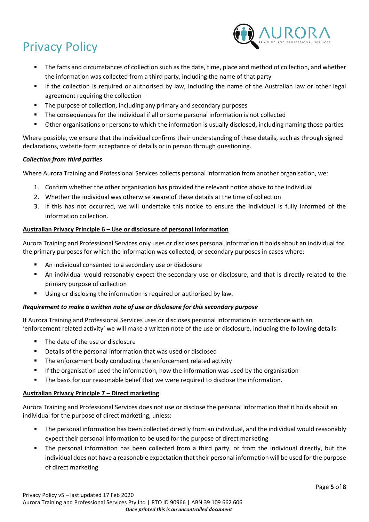

- The facts and circumstances of collection such as the date, time, place and method of collection, and whether the information was collected from a third party, including the name of that party
- If the collection is required or authorised by law, including the name of the Australian law or other legal agreement requiring the collection
- The purpose of collection, including any primary and secondary purposes
- The consequences for the individual if all or some personal information is not collected
- Other organisations or persons to which the information is usually disclosed, including naming those parties

Where possible, we ensure that the individual confirms their understanding of these details, such as through signed declarations, website form acceptance of details or in person through questioning.

# *Collection from third parties*

Where Aurora Training and Professional Services collects personal information from another organisation, we:

- 1. Confirm whether the other organisation has provided the relevant notice above to the individual
- 2. Whether the individual was otherwise aware of these details at the time of collection
- 3. If this has not occurred, we will undertake this notice to ensure the individual is fully informed of the information collection.

# **Australian Privacy Principle 6 – Use or disclosure of personal information**

Aurora Training and Professional Services only uses or discloses personal information it holds about an individual for the primary purposes for which the information was collected, or secondary purposes in cases where:

- An individual consented to a secondary use or disclosure
- An individual would reasonably expect the secondary use or disclosure, and that is directly related to the primary purpose of collection
- Using or disclosing the information is required or authorised by law.

# *Requirement to make a written note of use or disclosure for this secondary purpose*

If Aurora Training and Professional Services uses or discloses personal information in accordance with an 'enforcement related activity' we will make a written note of the use or disclosure, including the following details:

- The date of the use or disclosure
- Details of the personal information that was used or disclosed
- The enforcement body conducting the enforcement related activity
- **■** If the organisation used the information, how the information was used by the organisation
- **•** The basis for our reasonable belief that we were required to disclose the information.

# **Australian Privacy Principle 7 – Direct marketing**

Aurora Training and Professional Services does not use or disclose the personal information that it holds about an individual for the purpose of direct marketing, unless:

- The personal information has been collected directly from an individual, and the individual would reasonably expect their personal information to be used for the purpose of direct marketing
- The personal information has been collected from a third party, or from the individual directly, but the individual does not have a reasonable expectation that their personal information will be used for the purpose of direct marketing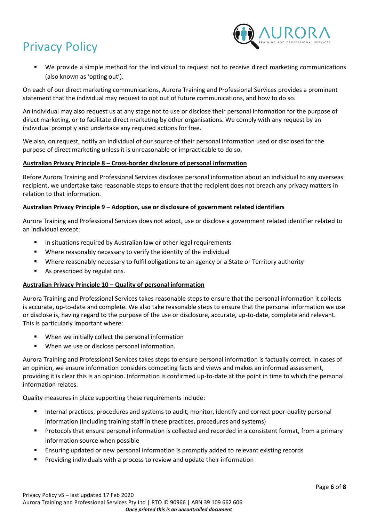

We provide a simple method for the individual to request not to receive direct marketing communications (also known as 'opting out').

On each of our direct marketing communications, Aurora Training and Professional Services provides a prominent statement that the individual may request to opt out of future communications, and how to do so.

An individual may also request us at any stage not to use or disclose their personal information for the purpose of direct marketing, or to facilitate direct marketing by other organisations. We comply with any request by an individual promptly and undertake any required actions for free.

We also, on request, notify an individual of our source of their personal information used or disclosed for the purpose of direct marketing unless it is unreasonable or impracticable to do so.

# **Australian Privacy Principle 8 – Cross-border disclosure of personal information**

Before Aurora Training and Professional Services discloses personal information about an individual to any overseas recipient, we undertake take reasonable steps to ensure that the recipient does not breach any privacy matters in relation to that information.

# **Australian Privacy Principle 9 – Adoption, use or disclosure of government related identifiers**

Aurora Training and Professional Services does not adopt, use or disclose a government related identifier related to an individual except:

- In situations required by Australian law or other legal requirements
- Where reasonably necessary to verify the identity of the individual
- Where reasonably necessary to fulfil obligations to an agency or a State or Territory authority
- As prescribed by regulations.

# **Australian Privacy Principle 10 – Quality of personal information**

Aurora Training and Professional Services takes reasonable steps to ensure that the personal information it collects is accurate, up-to-date and complete. We also take reasonable steps to ensure that the personal information we use or disclose is, having regard to the purpose of the use or disclosure, accurate, up-to-date, complete and relevant. This is particularly important where:

- When we initially collect the personal information
- When we use or disclose personal information.

Aurora Training and Professional Services takes steps to ensure personal information is factually correct. In cases of an opinion, we ensure information considers competing facts and views and makes an informed assessment, providing it is clear this is an opinion. Information is confirmed up-to-date at the point in time to which the personal information relates.

Quality measures in place supporting these requirements include:

- Internal practices, procedures and systems to audit, monitor, identify and correct poor-quality personal information (including training staff in these practices, procedures and systems)
- Protocols that ensure personal information is collected and recorded in a consistent format, from a primary information source when possible
- Ensuring updated or new personal information is promptly added to relevant existing records
- Providing individuals with a process to review and update their information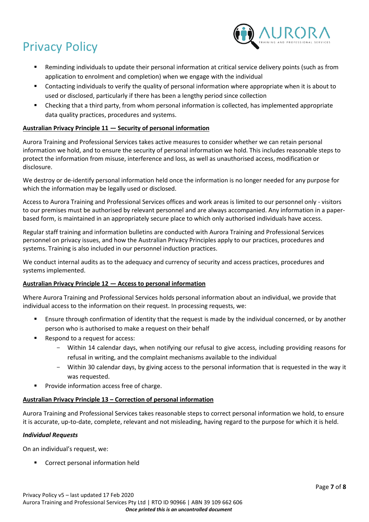

- Reminding individuals to update their personal information at critical service delivery points (such as from application to enrolment and completion) when we engage with the individual
- Contacting individuals to verify the quality of personal information where appropriate when it is about to used or disclosed, particularly if there has been a lengthy period since collection
- Checking that a third party, from whom personal information is collected, has implemented appropriate data quality practices, procedures and systems.

# **Australian Privacy Principle 11 — Security of personal information**

Aurora Training and Professional Services takes active measures to consider whether we can retain personal information we hold, and to ensure the security of personal information we hold. This includes reasonable steps to protect the information from misuse, interference and loss, as well as unauthorised access, modification or disclosure.

We destroy or de-identify personal information held once the information is no longer needed for any purpose for which the information may be legally used or disclosed.

Access to Aurora Training and Professional Services offices and work areas is limited to our personnel only - visitors to our premises must be authorised by relevant personnel and are always accompanied. Any information in a paperbased form, is maintained in an appropriately secure place to which only authorised individuals have access.

Regular staff training and information bulletins are conducted with Aurora Training and Professional Services personnel on privacy issues, and how the Australian Privacy Principles apply to our practices, procedures and systems. Training is also included in our personnel induction practices.

We conduct internal audits as to the adequacy and currency of security and access practices, procedures and systems implemented.

# **Australian Privacy Principle 12 — Access to personal information**

Where Aurora Training and Professional Services holds personal information about an individual, we provide that individual access to the information on their request. In processing requests, we:

- **Ensure through confirmation of identity that the request is made by the individual concerned, or by another** person who is authorised to make a request on their behalf
- Respond to a request for access:
	- Within 14 calendar days, when notifying our refusal to give access, including providing reasons for refusal in writing, and the complaint mechanisms available to the individual
	- Within 30 calendar days, by giving access to the personal information that is requested in the way it was requested.
- Provide information access free of charge.

# **Australian Privacy Principle 13 – Correction of personal information**

Aurora Training and Professional Services takes reasonable steps to correct personal information we hold, to ensure it is accurate, up-to-date, complete, relevant and not misleading, having regard to the purpose for which it is held.

# *Individual Requests*

On an individual's request, we:

■ Correct personal information held